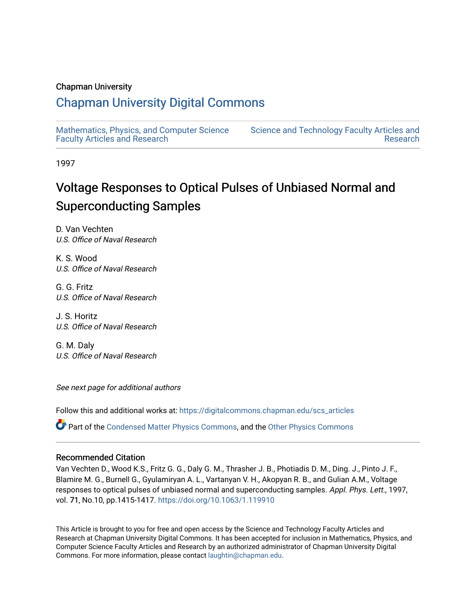#### Chapman University

## [Chapman University Digital Commons](https://digitalcommons.chapman.edu/)

[Mathematics, Physics, and Computer Science](https://digitalcommons.chapman.edu/scs_articles)  [Faculty Articles and Research](https://digitalcommons.chapman.edu/scs_articles)

[Science and Technology Faculty Articles and](https://digitalcommons.chapman.edu/science_articles)  [Research](https://digitalcommons.chapman.edu/science_articles) 

1997

# Voltage Responses to Optical Pulses of Unbiased Normal and Superconducting Samples

D. Van Vechten U.S. Office of Naval Research

K. S. Wood U.S. Office of Naval Research

G. G. Fritz U.S. Office of Naval Research

J. S. Horitz U.S. Office of Naval Research

G. M. Daly U.S. Office of Naval Research

See next page for additional authors

Follow this and additional works at: [https://digitalcommons.chapman.edu/scs\\_articles](https://digitalcommons.chapman.edu/scs_articles?utm_source=digitalcommons.chapman.edu%2Fscs_articles%2F762&utm_medium=PDF&utm_campaign=PDFCoverPages) 

Part of the [Condensed Matter Physics Commons,](http://network.bepress.com/hgg/discipline/197?utm_source=digitalcommons.chapman.edu%2Fscs_articles%2F762&utm_medium=PDF&utm_campaign=PDFCoverPages) and the [Other Physics Commons](http://network.bepress.com/hgg/discipline/207?utm_source=digitalcommons.chapman.edu%2Fscs_articles%2F762&utm_medium=PDF&utm_campaign=PDFCoverPages) 

#### Recommended Citation

Van Vechten D., Wood K.S., Fritz G. G., Daly G. M., Thrasher J. B., Photiadis D. M., Ding. J., Pinto J. F., Blamire M. G., Burnell G., Gyulamiryan A. L., Vartanyan V. H., Akopyan R. B., and Gulian A.M., Voltage responses to optical pulses of unbiased normal and superconducting samples. Appl. Phys. Lett., 1997, vol. 71, No.10, pp.1415-1417.<https://doi.org/10.1063/1.119910>

This Article is brought to you for free and open access by the Science and Technology Faculty Articles and Research at Chapman University Digital Commons. It has been accepted for inclusion in Mathematics, Physics, and Computer Science Faculty Articles and Research by an authorized administrator of Chapman University Digital Commons. For more information, please contact [laughtin@chapman.edu.](mailto:laughtin@chapman.edu)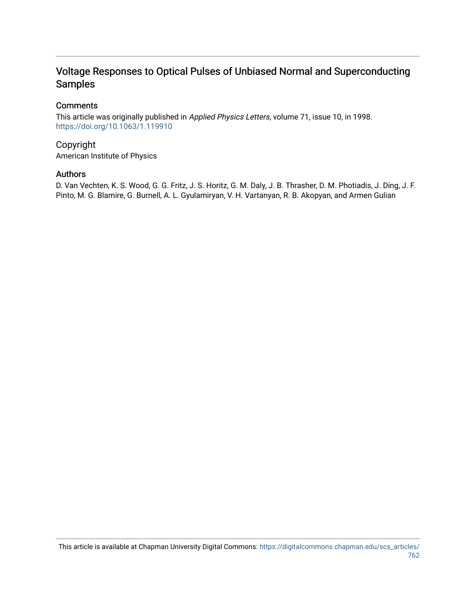## Voltage Responses to Optical Pulses of Unbiased Normal and Superconducting Samples

#### **Comments**

This article was originally published in Applied Physics Letters, volume 71, issue 10, in 1998. <https://doi.org/10.1063/1.119910>

#### Copyright

American Institute of Physics

#### Authors

D. Van Vechten, K. S. Wood, G. G. Fritz, J. S. Horitz, G. M. Daly, J. B. Thrasher, D. M. Photiadis, J. Ding, J. F. Pinto, M. G. Blamire, G. Burnell, A. L. Gyulamiryan, V. H. Vartanyan, R. B. Akopyan, and Armen Gulian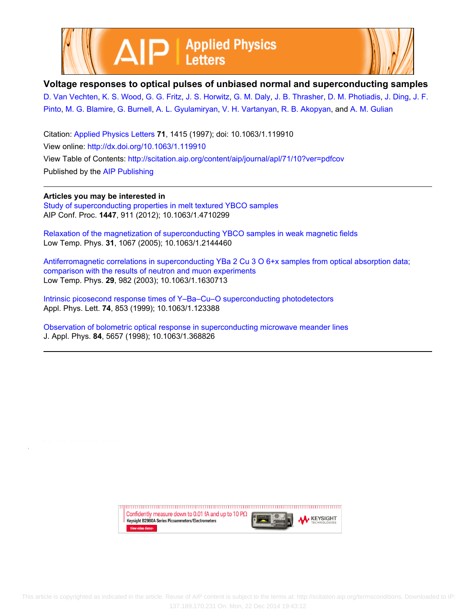



#### **Voltage responses to optical pulses of unbiased normal and superconducting samples**

[D. Van Vechten,](http://scitation.aip.org/search?value1=D.+Van+Vechten&option1=author) [K. S. Wood](http://scitation.aip.org/search?value1=K.+S.+Wood&option1=author), [G. G. Fritz,](http://scitation.aip.org/search?value1=G.+G.+Fritz&option1=author) [J. S. Horwitz](http://scitation.aip.org/search?value1=J.+S.+Horwitz&option1=author), [G. M. Daly,](http://scitation.aip.org/search?value1=G.+M.+Daly&option1=author) [J. B. Thrasher](http://scitation.aip.org/search?value1=J.+B.+Thrasher&option1=author), [D. M. Photiadis](http://scitation.aip.org/search?value1=D.+M.+Photiadis&option1=author), [J. Ding](http://scitation.aip.org/search?value1=J.+Ding&option1=author), [J. F.](http://scitation.aip.org/search?value1=J.+F.+Pinto&option1=author) [Pinto,](http://scitation.aip.org/search?value1=J.+F.+Pinto&option1=author) [M. G. Blamire](http://scitation.aip.org/search?value1=M.+G.+Blamire&option1=author), [G. Burnell](http://scitation.aip.org/search?value1=G.+Burnell&option1=author), [A. L. Gyulamiryan](http://scitation.aip.org/search?value1=A.+L.+Gyulamiryan&option1=author), [V. H. Vartanyan](http://scitation.aip.org/search?value1=V.+H.+Vartanyan&option1=author), [R. B. Akopyan,](http://scitation.aip.org/search?value1=R.+B.+Akopyan&option1=author) and [A. M. Gulian](http://scitation.aip.org/search?value1=A.+M.+Gulian&option1=author)

Citation: [Applied Physics Letters](http://scitation.aip.org/content/aip/journal/apl?ver=pdfcov) **71**, 1415 (1997); doi: 10.1063/1.119910 View online: <http://dx.doi.org/10.1063/1.119910> View Table of Contents: <http://scitation.aip.org/content/aip/journal/apl/71/10?ver=pdfcov> Published by the [AIP Publishing](http://scitation.aip.org/content/aip?ver=pdfcov)

**Articles you may be interested in**

[Study of superconducting properties in melt textured YBCO samples](http://scitation.aip.org/content/aip/proceeding/aipcp/10.1063/1.4710299?ver=pdfcov) AIP Conf. Proc. **1447**, 911 (2012); 10.1063/1.4710299

[Relaxation of the magnetization of superconducting YBCO samples in weak magnetic fields](http://scitation.aip.org/content/aip/journal/ltp/31/12/10.1063/1.2144460?ver=pdfcov) Low Temp. Phys. **31**, 1067 (2005); 10.1063/1.2144460

[Antiferromagnetic correlations in superconducting YBa 2 Cu 3 O 6+x samples from optical absorption data;](http://scitation.aip.org/content/aip/journal/ltp/29/12/10.1063/1.1630713?ver=pdfcov) [comparison with the results of neutron and muon experiments](http://scitation.aip.org/content/aip/journal/ltp/29/12/10.1063/1.1630713?ver=pdfcov) Low Temp. Phys. **29**, 982 (2003); 10.1063/1.1630713

[Intrinsic picosecond response times of Y–Ba–Cu–O superconducting photodetectors](http://scitation.aip.org/content/aip/journal/apl/74/6/10.1063/1.123388?ver=pdfcov) Appl. Phys. Lett. **74**, 853 (1999); 10.1063/1.123388

[Observation of bolometric optical response in superconducting microwave meander lines](http://scitation.aip.org/content/aip/journal/jap/84/10/10.1063/1.368826?ver=pdfcov) J. Appl. Phys. **84**, 5657 (1998); 10.1063/1.368826

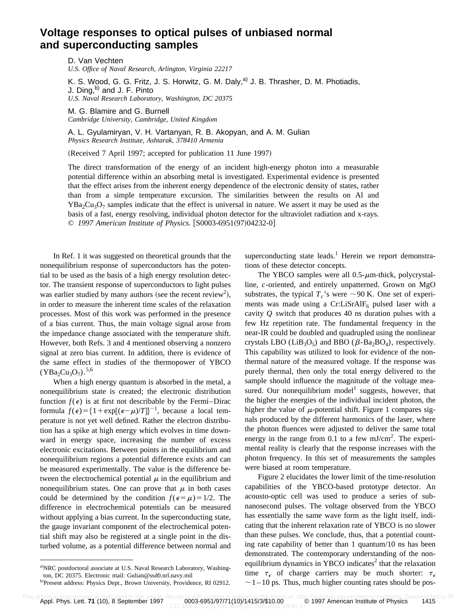### **Voltage responses to optical pulses of unbiased normal and superconducting samples**

D. Van Vechten *U.S. Office of Naval Research, Arlington, Virginia 22217*

K. S. Wood, G. G. Fritz, J. S. Horwitz, G. M. Daly, $a^{(2)}$  J. B. Thrasher, D. M. Photiadis, J. Ding, $^{b)}$  and J. F. Pinto *U.S. Naval Research Laboratory, Washington, DC 20375*

M. G. Blamire and G. Burnell *Cambridge University, Cambridge, United Kingdom*

A. L. Gyulamiryan, V. H. Vartanyan, R. B. Akopyan, and A. M. Gulian *Physics Research Institute, Ashtarak, 378410 Armenia*

(Received 7 April 1997; accepted for publication 11 June 1997)

The direct transformation of the energy of an incident high-energy photon into a measurable potential difference within an absorbing metal is investigated. Experimental evidence is presented that the effect arises from the inherent energy dependence of the electronic density of states, rather than from a simple temperature excursion. The similarities between the results on Al and  $YBa<sub>2</sub>Cu<sub>3</sub>O<sub>7</sub>$  samples indicate that the effect is universal in nature. We assert it may be used as the basis of a fast, energy resolving, individual photon detector for the ultraviolet radiation and x-rays. © 1997 American Institute of Physics. [S0003-6951(97)04232-0]

In Ref. 1 it was suggested on theoretical grounds that the nonequilibrium response of superconductors has the potential to be used as the basis of a high energy resolution detector. The transient response of superconductors to light pulses was earlier studied by many authors (see the recent review<sup>2</sup>), in order to measure the inherent time scales of the relaxation processes. Most of this work was performed in the presence of a bias current. Thus, the main voltage signal arose from the impedance change associated with the temperature shift. However, both Refs. 3 and 4 mentioned observing a nonzero signal at zero bias current. In addition, there is evidence of the same effect in studies of the thermopower of YBCO  $(YBa<sub>2</sub>Cu<sub>3</sub>O<sub>7</sub>)$ .<sup>5,6</sup>

When a high energy quantum is absorbed in the metal, a nonequilibrium state is created; the electronic distribution function  $f(\epsilon)$  is at first not describable by the Fermi–Dirac formula  $f(\epsilon) = \{1 + \exp[(\epsilon - \mu)/T]\}^{-1}$ , because a local temperature is not yet well defined. Rather the electron distribution has a spike at high energy which evolves in time downward in energy space, increasing the number of excess electronic excitations. Between points in the equilibrium and nonequilibrium regions a potential difference exists and can be measured experimentally. The value is the difference between the electrochemical potential  $\mu$  in the equilibrium and nonequilibrium states. One can prove that  $\mu$  in both cases could be determined by the condition  $f(\epsilon=\mu)=1/2$ . The difference in electrochemical potentials can be measured without applying a bias current. In the superconducting state, the gauge invariant component of the electrochemical potential shift may also be registered at a single point in the disturbed volume, as a potential difference between normal and superconducting state leads.<sup>1</sup> Herein we report demonstrations of these detector concepts.

The YBCO samples were all  $0.5$ - $\mu$ m-thick, polycrystalline, *c*-oriented, and entirely unpatterned. Grown on MgO substrates, the typical  $T_c$ 's were  $\sim$ 90 K. One set of experiments was made using a Cr:LiSrAlF $_6$  pulsed laser with a cavity *Q* switch that produces 40 ns duration pulses with a few Hz repetition rate. The fundamental frequency in the near-IR could be doubled and quadrupled using the nonlinear crystals LBO (LiB<sub>3</sub>O<sub>5</sub>) and BBO ( $\beta$ -Ba<sub>2</sub>BO<sub>4</sub>), respectively. This capability was utilized to look for evidence of the nonthermal nature of the measured voltage. If the response was purely thermal, then only the total energy delivered to the sample should influence the magnitude of the voltage measured. Our nonequilibrium model<sup>1</sup> suggests, however, that the higher the energies of the individual incident photon, the higher the value of  $\mu$ -potential shift. Figure 1 compares signals produced by the different harmonics of the laser, where the photon fluences were adjusted to deliver the same total energy in the range from 0.1 to a few mJ/cm<sup>2</sup>. The experimental reality is clearly that the response increases with the photon frequency. In this set of measurements the samples were biased at room temperature.

Figure 2 elucidates the lower limit of the time-resolution capabilities of the YBCO-based prototype detector. An acousto-optic cell was used to produce a series of subnanosecond pulses. The voltage observed from the YBCO has essentially the same wave form as the light itself, indicating that the inherent relaxation rate of YBCO is no slower than these pulses. We conclude, thus, that a potential counting rate capability of better than 1 quantum/10 ns has been demonstrated. The contemporary understanding of the nonequilibrium dynamics in YBCO indicates $<sup>2</sup>$  that the relaxation</sup> time  $\tau_{\epsilon}$  of charge carriers may be much shorter:  $\tau_{\epsilon}$  $\sim$  1 – 10 ps. Thus, much higher counting rates should be pos-

a)NRC postdoctoral associate at U.S. Naval Research Laboratory, Washington, DC 20375. Electronic mail: Gulian@ssd0.nrl.navy.mil b)Present address: Physics Dept., Brown University, Providence, RI 02912.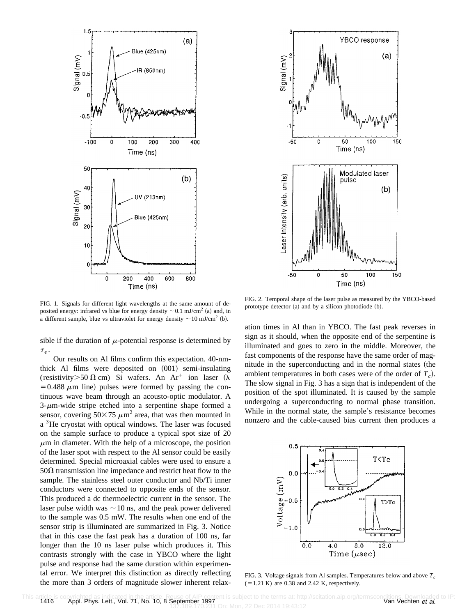

FIG. 1. Signals for different light wavelengths at the same amount of deposited energy: infrared vs blue for energy density  $\sim 0.1$  mJ/cm<sup>2</sup> (a) and, in a different sample, blue vs ultraviolet for energy density  $\sim 10 \text{ mJ/cm}^2$  (b).

sible if the duration of  $\mu$ -potential response is determined by  $\tau_\epsilon$  .

Our results on Al films confirm this expectation. 40-nmthick Al films were deposited on  $(001)$  semi-insulating (resistivity > 50  $\Omega$  cm) Si wafers. An Ar<sup>+</sup> ion laser ( $\lambda$  $=0.488 \mu m$  line) pulses were formed by passing the continuous wave beam through an acousto-optic modulator. A  $3-\mu$ m-wide stripe etched into a serpentine shape formed a sensor, covering  $50\times75 \ \mu \text{m}^2$  area, that was then mounted in a <sup>3</sup>He cryostat with optical windows. The laser was focused on the sample surface to produce a typical spot size of 20  $\mu$ m in diameter. With the help of a microscope, the position of the laser spot with respect to the Al sensor could be easily determined. Special microaxial cables were used to ensure a  $50\Omega$  transmission line impedance and restrict heat flow to the sample. The stainless steel outer conductor and Nb/Ti inner conductors were connected to opposite ends of the sensor. This produced a dc thermoelectric current in the sensor. The laser pulse width was  $\sim$  10 ns, and the peak power delivered to the sample was 0.5 mW. The results when one end of the sensor strip is illuminated are summarized in Fig. 3. Notice that in this case the fast peak has a duration of 100 ns, far longer than the 10 ns laser pulse which produces it. This contrasts strongly with the case in YBCO where the light pulse and response had the same duration within experimental error. We interpret this distinction as directly reflecting the more than 3 orders of magnitude slower inherent relax-



FIG. 2. Temporal shape of the laser pulse as measured by the YBCO-based prototype detector  $(a)$  and by a silicon photodiode  $(b)$ .

ation times in Al than in YBCO. The fast peak reverses in sign as it should, when the opposite end of the serpentine is illuminated and goes to zero in the middle. Moreover, the fast components of the response have the same order of magnitude in the superconducting and in the normal states (the ambient temperatures in both cases were of the order of  $T_c$ ). The slow signal in Fig. 3 has a sign that is independent of the position of the spot illuminated. It is caused by the sample undergoing a superconducting to normal phase transition. While in the normal state, the sample's resistance becomes nonzero and the cable-caused bias current then produces a



FIG. 3. Voltage signals from Al samples. Temperatures below and above  $T_c$  $(51.21 \text{ K})$  are 0.38 and 2.42 K, respectively.